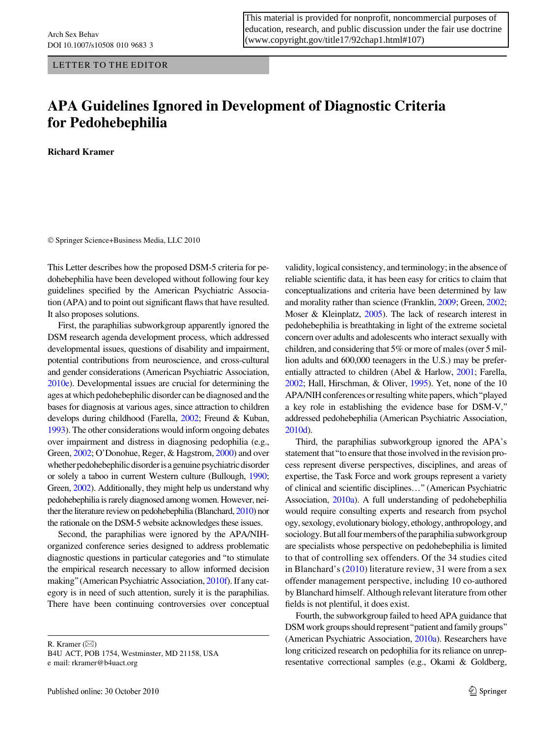LETTER TO THE EDITOR

This material is provided for nonprofit, noncommercial purposes of education, research, and public discussion under the fair use doctrine ([www.copyright.gov/title17/92chap1.html#107](http://www.copyright.gov/title17/92chap1.html#107))

## APA Guidelines Ignored in Development of Diagnostic Criteria for Pedohebephilia

Richard Kramer

© Springer Science+Business Media, LLC 2010

This Letter describes how the proposed DSM-5 criteria for pedohebephilia have been developed without following four key guidelines specified by the American Psychiatric Association (APA) and to point out significant flaws that have resulted. It also proposes solutions.

First, the paraphilias subworkgroup apparently ignored the DSM research agenda development process, which addressed developmental issues, questions of disability and impairment, potential contributions from neuroscience, and cross-cultural and gender considerations (American Psychiatric Association, [2010e](#page-2-0)). Developmental issues are crucial for determining the ages at which pedohebephilic disorder can be diagnosed and the bases for diagnosis at various ages, since attraction to children develops during childhood (Farella, [2002](#page-2-0); Freund & Kuban, [1993](#page-2-0)). The other considerations would inform ongoing debates over impairment and distress in diagnosing pedophilia (e.g., Green, [2002](#page-2-0); O'Donohue, Reger, & Hagstrom, [2000\)](#page-2-0) and over whether pedohebephilic disorder is a genuine psychiatric disorder or solely a taboo in current Western culture (Bullough, [1990](#page-2-0); Green, [2002](#page-2-0)). Additionally, they might help us understand why pedohebephilia is rarely diagnosed among women. However, neither the literature review on pedohebephilia (Blanchard, [2010\)](#page-2-0) nor the rationale on the DSM-5 website acknowledges these issues.

Second, the paraphilias were ignored by the APA/NIHorganized conference series designed to address problematic diagnostic questions in particular categories and ''to stimulate the empirical research necessary to allow informed decision making''(American Psychiatric Association, [2010f\)](#page-2-0). If any category is in need of such attention, surely it is the paraphilias. There have been continuing controversies over conceptual

R. Kramer (⊠) B4U ACT, POB 1754, Westminster, MD 21158, USA e mail: rkramer@b4uact.org

validity, logical consistency, and terminology; in the absence of reliable scientific data, it has been easy for critics to claim that conceptualizations and criteria have been determined by law and morality rather than science (Franklin, [2009](#page-2-0); Green, [2002](#page-2-0); Moser & Kleinplatz, [2005\)](#page-2-0). The lack of research interest in pedohebephilia is breathtaking in light of the extreme societal concern over adults and adolescents who interact sexually with children, and considering that 5% or more of males (over 5 million adults and 600,000 teenagers in the U.S.) may be preferentially attracted to children (Abel & Harlow, [2001](#page-2-0); Farella, [2002](#page-2-0); Hall, Hirschman, & Oliver, [1995\)](#page-2-0). Yet, none of the 10 APA/NIH conferences or resulting white papers, which''played a key role in establishing the evidence base for DSM-V,'' addressed pedohebephilia (American Psychiatric Association, [2010d](#page-2-0)).

Third, the paraphilias subworkgroup ignored the APA's statement that''to ensure that those involved in the revision process represent diverse perspectives, disciplines, and areas of expertise, the Task Force and work groups represent a variety of clinical and scientific disciplines…'' (American Psychiatric Association, [2010a](#page-2-0)). A full understanding of pedohebephilia would require consulting experts and research from psychol ogy, sexology, evolutionary biology, ethology, anthropology, and sociology. But all four members of the paraphilia subworkgroup are specialists whose perspective on pedohebephilia is limited to that of controlling sex offenders. Of the 34 studies cited in Blanchard's ([2010](#page-2-0)) literature review, 31 were from a sex offender management perspective, including 10 co-authored by Blanchard himself. Although relevant literature from other fields is not plentiful, it does exist.

Fourth, the subworkgroup failed to heed APA guidance that DSM work groups should represent''patient and family groups'' (American Psychiatric Association, [2010a\)](#page-2-0). Researchers have long criticized research on pedophilia for its reliance on unrepresentative correctional samples (e.g., Okami & Goldberg,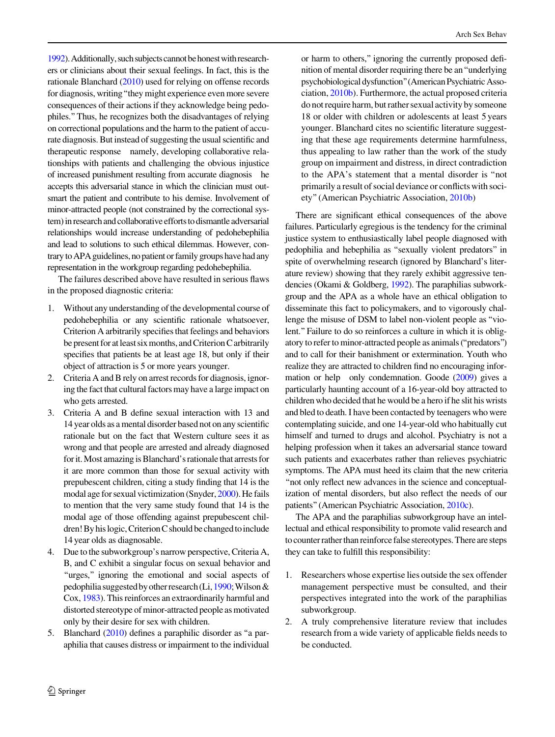[1992\)](#page-2-0). Additionally, such subjects cannot be honest with researchers or clinicians about their sexual feelings. In fact, this is the rationale Blanchard ([2010\)](#page-2-0) used for relying on offense records for diagnosis, writing''they might experience even more severe consequences of their actions if they acknowledge being pedophiles.''Thus, he recognizes both the disadvantages of relying on correctional populations and the harm to the patient of accurate diagnosis. But instead of suggesting the usual scientific and therapeutic response namely, developing collaborative relationships with patients and challenging the obvious injustice of increased punishment resulting from accurate diagnosis he accepts this adversarial stance in which the clinician must outsmart the patient and contribute to his demise. Involvement of minor-attracted people (not constrained by the correctional system) in research and collaborative efforts to dismantle adversarial relationships would increase understanding of pedohebephilia and lead to solutions to such ethical dilemmas. However, contrary to APA guidelines, no patient or family groups have had any representation in the workgroup regarding pedohebephilia.

The failures described above have resulted in serious flaws in the proposed diagnostic criteria:

- 1. Without any understanding of the developmental course of pedohebephilia or any scientific rationale whatsoever, Criterion A arbitrarily specifies that feelings and behaviors be present for at least six months, and Criterion C arbitrarily specifies that patients be at least age 18, but only if their object of attraction is 5 or more years younger.
- 2. Criteria A and B rely on arrest records for diagnosis, ignoring the fact that cultural factors may have a large impact on who gets arrested.
- 3. Criteria A and B define sexual interaction with 13 and 14 year olds as a mental disorder based not on any scientific rationale but on the fact that Western culture sees it as wrong and that people are arrested and already diagnosed for it. Most amazing is Blanchard's rationale that arrests for it are more common than those for sexual activity with prepubescent children, citing a study finding that 14 is the modal age for sexual victimization (Snyder, [2000\)](#page-2-0). He fails to mention that the very same study found that 14 is the modal age of those offending against prepubescent children! By his logic, Criterion C should be changed to include 14 year olds as diagnosable.
- 4. Due to the subworkgroup's narrow perspective, Criteria A, B, and C exhibit a singular focus on sexual behavior and ''urges,'' ignoring the emotional and social aspects of pedophilia suggested by other research (Li,  $1990$ ; Wilson & Cox, [1983\)](#page-2-0). This reinforces an extraordinarily harmful and distorted stereotype of minor-attracted people as motivated only by their desire for sex with children.
- 5. Blanchard ([2010\)](#page-2-0) defines a paraphilic disorder as ''a paraphilia that causes distress or impairment to the individual

or harm to others,'' ignoring the currently proposed definition of mental disorder requiring there be an''underlying psychobiologicaldysfunction''(American Psychiatric Association, [2010b\)](#page-2-0). Furthermore, the actual proposed criteria do not require harm, but rather sexual activity by someone 18 or older with children or adolescents at least 5 years younger. Blanchard cites no scientific literature suggesting that these age requirements determine harmfulness, thus appealing to law rather than the work of the study group on impairment and distress, in direct contradiction to the APA's statement that a mental disorder is ''not primarily a result of social deviance or conflicts with society''(American Psychiatric Association, [2010b](#page-2-0))

There are significant ethical consequences of the above failures. Particularly egregious is the tendency for the criminal justice system to enthusiastically label people diagnosed with pedophilia and hebephilia as ''sexually violent predators'' in spite of overwhelming research (ignored by Blanchard's literature review) showing that they rarely exhibit aggressive tendencies (Okami & Goldberg, [1992\)](#page-2-0). The paraphilias subworkgroup and the APA as a whole have an ethical obligation to disseminate this fact to policymakers, and to vigorously challenge the misuse of DSM to label non-violent people as ''violent.'' Failure to do so reinforces a culture in which it is obligatory to refer to minor-attracted people as animals (''predators'') and to call for their banishment or extermination. Youth who realize they are attracted to children find no encouraging information or help only condemnation. Goode [\(2009\)](#page-2-0) gives a particularly haunting account of a 16-year-old boy attracted to children who decided that he would be a hero if he slit his wrists and bled to death. I have been contacted by teenagers who were contemplating suicide, and one 14-year-old who habitually cut himself and turned to drugs and alcohol. Psychiatry is not a helping profession when it takes an adversarial stance toward such patients and exacerbates rather than relieves psychiatric symptoms. The APA must heed its claim that the new criteria "not only reflect new advances in the science and conceptualization of mental disorders, but also reflect the needs of our patients''(American Psychiatric Association, [2010c\)](#page-2-0).

The APA and the paraphilias subworkgroup have an intellectual and ethical responsibility to promote valid research and to counter rather than reinforce false stereotypes. There are steps they can take to fulfill this responsibility:

- 1. Researchers whose expertise lies outside the sex offender management perspective must be consulted, and their perspectives integrated into the work of the paraphilias subworkgroup.
- 2. A truly comprehensive literature review that includes research from a wide variety of applicable fields needs to be conducted.